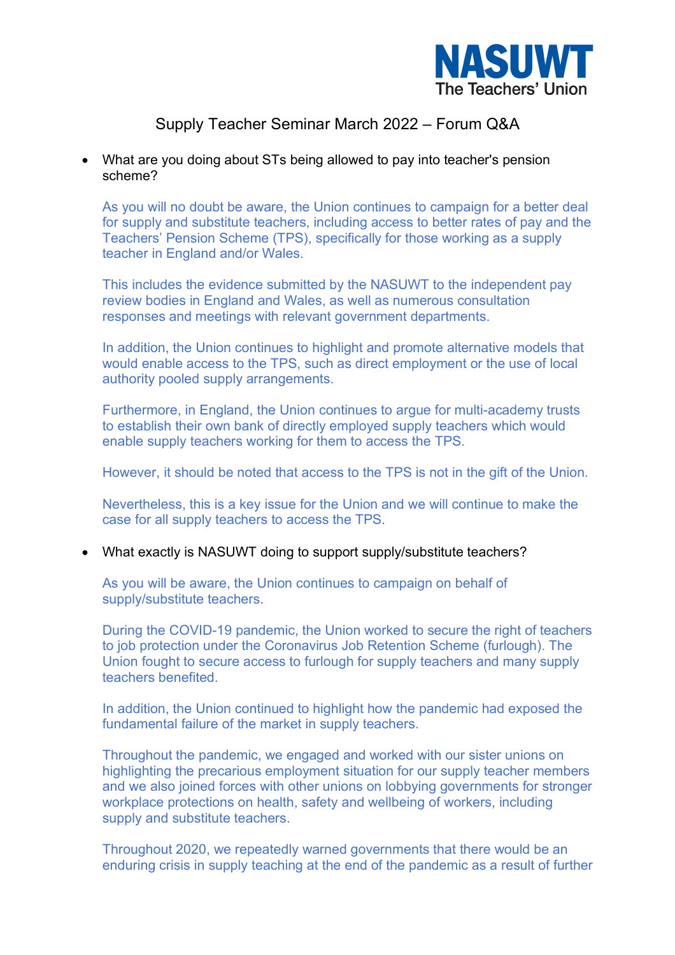

#### • What are you doing about STs being allowed to pay into teacher's pension scheme?

As you will no doubt be aware, the Union continues to campaign for a better deal for supply and substitute teachers, including access to better rates of pay and the Teachers' Pension Scheme (TPS), specifically for those working as a supply teacher in England and/or Wales.

This includes the evidence submitted by the NASUWT to the independent pay review bodies in England and Wales, as well as numerous consultation responses and meetings with relevant government departments.

In addition, the Union continues to highlight and promote alternative models that would enable access to the TPS, such as direct employment or the use of local authority pooled supply arrangements.

Furthermore, in England, the Union continues to argue for multi-academy trusts to establish their own bank of directly employed supply teachers which would enable supply teachers working for them to access the TPS.

However, it should be noted that access to the TPS is not in the gift of the Union.

Nevertheless, this is a key issue for the Union and we will continue to make the case for all supply teachers to access the TPS.

• What exactly is NASUWT doing to support supply/substitute teachers?

As you will be aware, the Union continues to campaign on behalf of supply/substitute teachers.

During the COVID-19 pandemic, the Union worked to secure the right of teachers to job protection under the Coronavirus Job Retention Scheme (furlough). The Union fought to secure access to furlough for supply teachers and many supply teachers benefited.

In addition, the Union continued to highlight how the pandemic had exposed the fundamental failure of the market in supply teachers.

Throughout the pandemic, we engaged and worked with our sister unions on highlighting the precarious employment situation for our supply teacher members and we also joined forces with other unions on lobbying governments for stronger workplace protections on health, safety and wellbeing of workers, including supply and substitute teachers.

Throughout 2020, we repeatedly warned governments that there would be an enduring crisis in supply teaching at the end of the pandemic as a result of further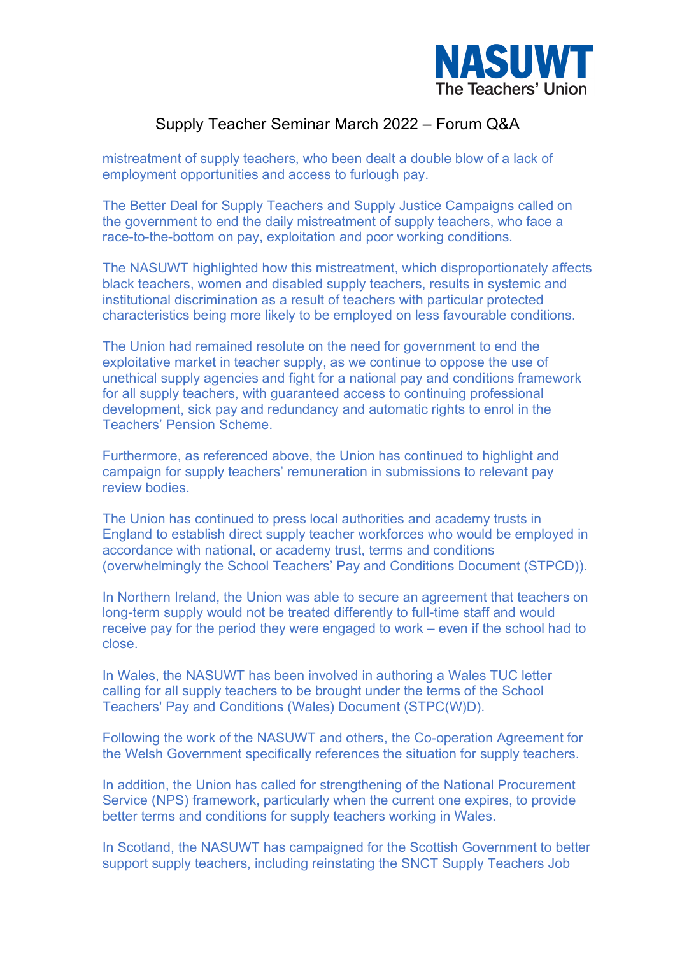

mistreatment of supply teachers, who been dealt a double blow of a lack of employment opportunities and access to furlough pay.

The Better Deal for Supply Teachers and Supply Justice Campaigns called on the government to end the daily mistreatment of supply teachers, who face a race-to-the-bottom on pay, exploitation and poor working conditions.

The NASUWT highlighted how this mistreatment, which disproportionately affects black teachers, women and disabled supply teachers, results in systemic and institutional discrimination as a result of teachers with particular protected characteristics being more likely to be employed on less favourable conditions.

The Union had remained resolute on the need for government to end the exploitative market in teacher supply, as we continue to oppose the use of unethical supply agencies and fight for a national pay and conditions framework for all supply teachers, with guaranteed access to continuing professional development, sick pay and redundancy and automatic rights to enrol in the Teachers' Pension Scheme.

Furthermore, as referenced above, the Union has continued to highlight and campaign for supply teachers' remuneration in submissions to relevant pay review bodies.

The Union has continued to press local authorities and academy trusts in England to establish direct supply teacher workforces who would be employed in accordance with national, or academy trust, terms and conditions (overwhelmingly the School Teachers' Pay and Conditions Document (STPCD)).

In Northern Ireland, the Union was able to secure an agreement that teachers on long-term supply would not be treated differently to full-time staff and would receive pay for the period they were engaged to work – even if the school had to close.

In Wales, the NASUWT has been involved in authoring a Wales TUC letter calling for all supply teachers to be brought under the terms of the School Teachers' Pay and Conditions (Wales) Document (STPC(W)D).

Following the work of the NASUWT and others, the Co-operation Agreement for the Welsh Government specifically references the situation for supply teachers.

In addition, the Union has called for strengthening of the National Procurement Service (NPS) framework, particularly when the current one expires, to provide better terms and conditions for supply teachers working in Wales.

In Scotland, the NASUWT has campaigned for the Scottish Government to better support supply teachers, including reinstating the SNCT Supply Teachers Job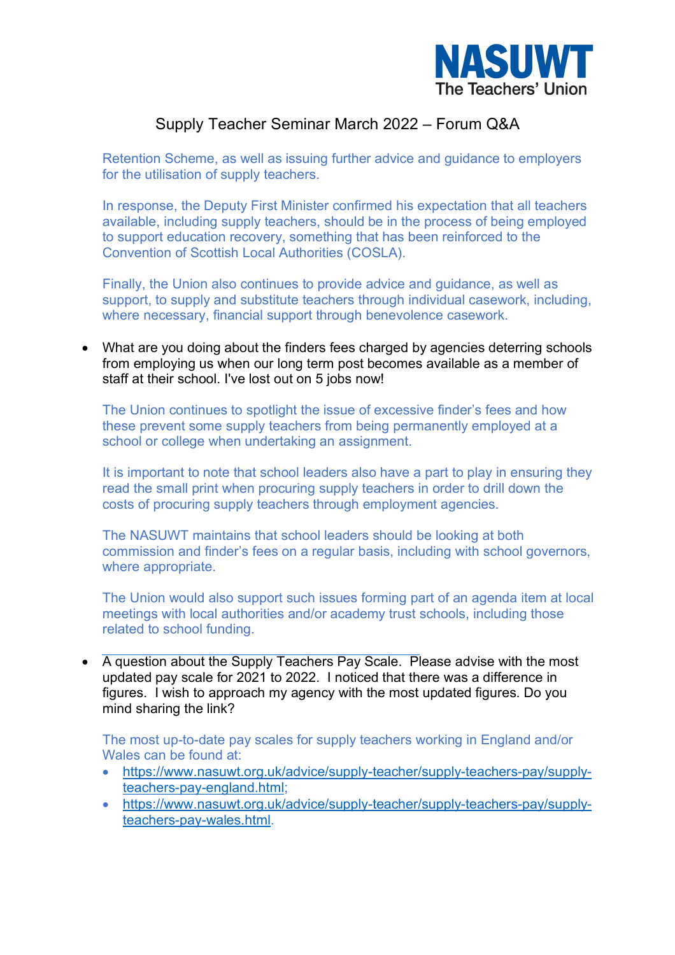

Retention Scheme, as well as issuing further advice and guidance to employers for the utilisation of supply teachers.

In response, the Deputy First Minister confirmed his expectation that all teachers available, including supply teachers, should be in the process of being employed to support education recovery, something that has been reinforced to the Convention of Scottish Local Authorities (COSLA).

Finally, the Union also continues to provide advice and guidance, as well as support, to supply and substitute teachers through individual casework, including, where necessary, financial support through benevolence casework.

• What are you doing about the finders fees charged by agencies deterring schools from employing us when our long term post becomes available as a member of staff at their school. I've lost out on 5 jobs now!

The Union continues to spotlight the issue of excessive finder's fees and how these prevent some supply teachers from being permanently employed at a school or college when undertaking an assignment.

It is important to note that school leaders also have a part to play in ensuring they read the small print when procuring supply teachers in order to drill down the costs of procuring supply teachers through employment agencies.

The NASUWT maintains that school leaders should be looking at both commission and finder's fees on a regular basis, including with school governors, where appropriate.

The Union would also support such issues forming part of an agenda item at local meetings with local authorities and/or academy trust schools, including those related to school funding.

• A question about the Supply Teachers Pay Scale. Please advise with the most updated pay scale for 2021 to 2022. I noticed that there was a difference in figures. I wish to approach my agency with the most updated figures. Do you mind sharing the link?

The most up-to-date pay scales for supply teachers working in England and/or Wales can be found at:

- https://www.nasuwt.org.uk/advice/supply-teacher/supply-teachers-pay/supplyteachers-pay-england.html;
- https://www.nasuwt.org.uk/advice/supply-teacher/supply-teachers-pay/supplyteachers-pay-wales.html.